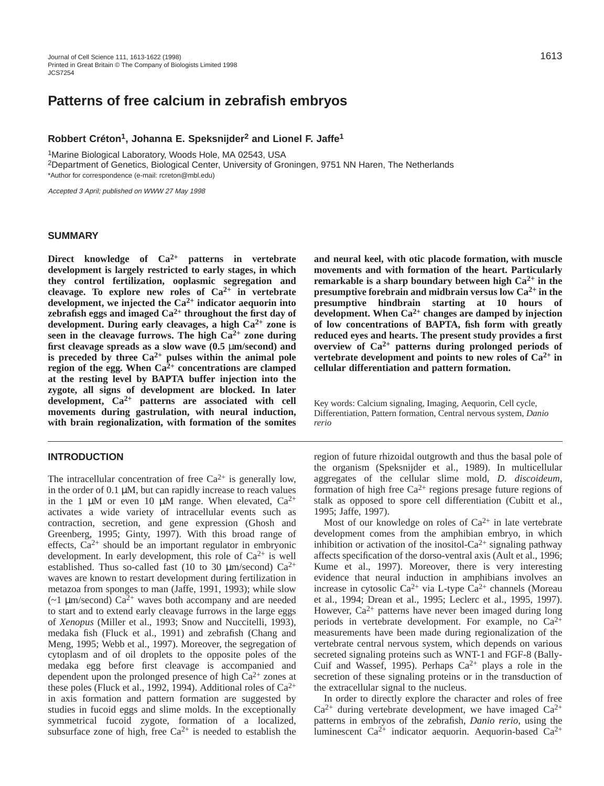# **Patterns of free calcium in zebrafish embryos**

#### **Robbert Créton1, Johanna E. Speksnijder2 and Lionel F. Jaffe1**

1Marine Biological Laboratory, Woods Hole, MA 02543, USA

2Department of Genetics, Biological Center, University of Groningen, 9751 NN Haren, The Netherlands \*Author for correspondence (e-mail: rcreton@mbl.edu)

Accepted 3 April; published on WWW 27 May 1998

#### **SUMMARY**

**Direct knowledge of Ca2+ patterns in vertebrate development is largely restricted to early stages, in which they control fertilization, ooplasmic segregation and cleavage. To explore new roles of Ca2+ in vertebrate development, we injected the Ca2+ indicator aequorin into zebrafish eggs and imaged Ca2+ throughout the first day of development. During early cleavages, a high Ca2+ zone is seen in the cleavage furrows. The high Ca2+ zone during first cleavage spreads as a slow wave (0.5** µ**m/second) and** is preceded by three  $Ca^{2+}$  pulses within the animal pole **region of the egg. When Ca2+ concentrations are clamped at the resting level by BAPTA buffer injection into the zygote, all signs of development are blocked. In later development, Ca2+ patterns are associated with cell movements during gastrulation, with neural induction, with brain regionalization, with formation of the somites**

#### **INTRODUCTION**

The intracellular concentration of free  $Ca^{2+}$  is generally low, in the order of 0.1 µM, but can rapidly increase to reach values in the 1  $\mu$ M or even 10  $\mu$ M range. When elevated, Ca<sup>2+</sup> activates a wide variety of intracellular events such as contraction, secretion, and gene expression (Ghosh and Greenberg, 1995; Ginty, 1997). With this broad range of effects,  $Ca^{2+}$  should be an important regulator in embryonic development. In early development, this role of  $Ca^{2+}$  is well established. Thus so-called fast (10 to 30  $\mu$ m/second) Ca<sup>2+</sup> waves are known to restart development during fertilization in metazoa from sponges to man (Jaffe, 1991, 1993); while slow  $\sim$ 1 µm/second) Ca<sup>2+</sup> waves both accompany and are needed to start and to extend early cleavage furrows in the large eggs of *Xenopus* (Miller et al., 1993; Snow and Nuccitelli, 1993), medaka fish (Fluck et al., 1991) and zebrafish (Chang and Meng, 1995; Webb et al., 1997). Moreover, the segregation of cytoplasm and of oil droplets to the opposite poles of the medaka egg before first cleavage is accompanied and dependent upon the prolonged presence of high  $Ca^{2+}$  zones at these poles (Fluck et al., 1992, 1994). Additional roles of  $Ca^{2+}$ in axis formation and pattern formation are suggested by studies in fucoid eggs and slime molds. In the exceptionally symmetrical fucoid zygote, formation of a localized, subsurface zone of high, free  $Ca^{2+}$  is needed to establish the **and neural keel, with otic placode formation, with muscle movements and with formation of the heart. Particularly remarkable is a sharp boundary between high Ca2+ in the presumptive forebrain and midbrain versus low Ca2+ in the presumptive hindbrain starting at 10 hours of development. When Ca2+ changes are damped by injection of low concentrations of BAPTA, fish form with greatly reduced eyes and hearts. The present study provides a first overview of Ca2+ patterns during prolonged periods of vertebrate development and points to new roles of Ca2+ in cellular differentiation and pattern formation.**

Key words: Calcium signaling, Imaging, Aequorin, Cell cycle, Differentiation, Pattern formation, Central nervous system, *Danio rerio*

region of future rhizoidal outgrowth and thus the basal pole of the organism (Speksnijder et al., 1989). In multicellular aggregates of the cellular slime mold, *D. discoideum*, formation of high free  $Ca^{2+}$  regions presage future regions of stalk as opposed to spore cell differentiation (Cubitt et al., 1995; Jaffe, 1997).

Most of our knowledge on roles of  $Ca^{2+}$  in late vertebrate development comes from the amphibian embryo, in which inhibition or activation of the inositol- $Ca^{2+}$  signaling pathway affects specification of the dorso-ventral axis (Ault et al., 1996; Kume et al., 1997). Moreover, there is very interesting evidence that neural induction in amphibians involves an increase in cytosolic  $Ca^{2+}$  via L-type  $Ca^{2+}$  channels (Moreau et al., 1994; Drean et al., 1995; Leclerc et al., 1995, 1997). However,  $Ca^{2+}$  patterns have never been imaged during long periods in vertebrate development. For example, no  $Ca^{2+}$ measurements have been made during regionalization of the vertebrate central nervous system, which depends on various secreted signaling proteins such as WNT-1 and FGF-8 (Bally-Cuif and Wassef, 1995). Perhaps  $Ca^{2+}$  plays a role in the secretion of these signaling proteins or in the transduction of the extracellular signal to the nucleus.

In order to directly explore the character and roles of free  $Ca^{2+}$  during vertebrate development, we have imaged  $Ca^{2+}$ patterns in embryos of the zebrafish, *Danio rerio*, using the luminescent  $Ca^{2+}$  indicator aequorin. Aequorin-based  $Ca^{2+}$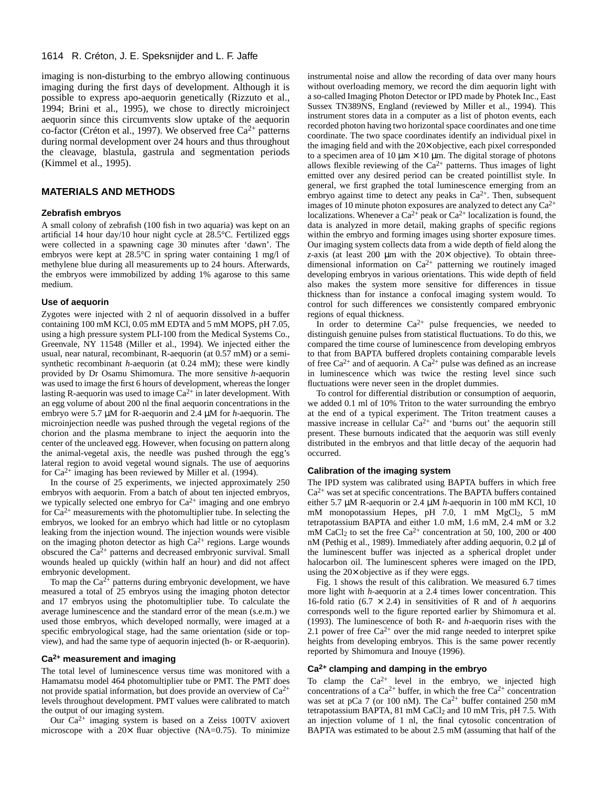imaging is non-disturbing to the embryo allowing continuous imaging during the first days of development. Although it is possible to express apo-aequorin genetically (Rizzuto et al., 1994; Brini et al., 1995), we chose to directly microinject aequorin since this circumvents slow uptake of the aequorin co-factor (Créton et al., 1997). We observed free  $Ca^{2+}$  patterns during normal development over 24 hours and thus throughout the cleavage, blastula, gastrula and segmentation periods (Kimmel et al., 1995).

#### **MATERIALS AND METHODS**

#### **Zebrafish embryos**

A small colony of zebrafish (100 fish in two aquaria) was kept on an artificial 14 hour day/10 hour night cycle at 28.5°C. Fertilized eggs were collected in a spawning cage 30 minutes after 'dawn'. The embryos were kept at 28.5°C in spring water containing 1 mg/l of methylene blue during all measurements up to 24 hours. Afterwards, the embryos were immobilized by adding 1% agarose to this same medium.

#### **Use of aequorin**

Zygotes were injected with 2 nl of aequorin dissolved in a buffer containing 100 mM KCl, 0.05 mM EDTA and 5 mM MOPS, pH 7.05, using a high pressure system PLI-100 from the Medical Systems Co., Greenvale, NY 11548 (Miller et al., 1994). We injected either the usual, near natural, recombinant, R-aequorin (at 0.57 mM) or a semisynthetic recombinant *h*-aequorin (at 0.24 mM); these were kindly provided by Dr Osamu Shimomura. The more sensitive *h*-aequorin was used to image the first 6 hours of development, whereas the longer lasting R-aequorin was used to image  $Ca^{2+}$  in later development. With an egg volume of about 200 nl the final aequorin concentrations in the embryo were 5.7 µM for R-aequorin and 2.4 µM for *h*-aequorin. The microinjection needle was pushed through the vegetal regions of the chorion and the plasma membrane to inject the aequorin into the center of the uncleaved egg. However, when focusing on pattern along the animal-vegetal axis, the needle was pushed through the egg's lateral region to avoid vegetal wound signals. The use of aequorins for  $Ca^{2+}$  imaging has been reviewed by Miller et al. (1994).

In the course of 25 experiments, we injected approximately 250 embryos with aequorin. From a batch of about ten injected embryos, we typically selected one embryo for  $Ca^{2+}$  imaging and one embryo for  $Ca^{2+}$  measurements with the photomultiplier tube. In selecting the embryos, we looked for an embryo which had little or no cytoplasm leaking from the injection wound. The injection wounds were visible on the imaging photon detector as high  $Ca^{2+}$  regions. Large wounds obscured the  $Ca^{2+}$  patterns and decreased embryonic survival. Small wounds healed up quickly (within half an hour) and did not affect embryonic development.

To map the  $Ca^{2+}$  patterns during embryonic development, we have measured a total of 25 embryos using the imaging photon detector and 17 embryos using the photomultiplier tube. To calculate the average luminescence and the standard error of the mean (s.e.m.) we used those embryos, which developed normally, were imaged at a specific embryological stage, had the same orientation (side or topview), and had the same type of aequorin injected (h- or R-aequorin).

#### **Ca2+ measurement and imaging**

The total level of luminescence versus time was monitored with a Hamamatsu model 464 photomultiplier tube or PMT. The PMT does not provide spatial information, but does provide an overview of Ca2+ levels throughout development. PMT values were calibrated to match the output of our imaging system.

Our Ca2+ imaging system is based on a Zeiss 100TV axiovert microscope with a  $20\times$  fluar objective (NA=0.75). To minimize

instrumental noise and allow the recording of data over many hours without overloading memory, we record the dim aequorin light with a so-called Imaging Photon Detector or IPD made by Photek Inc., East Sussex TN389NS, England (reviewed by Miller et al., 1994). This instrument stores data in a computer as a list of photon events, each recorded photon having two horizontal space coordinates and one time coordinate. The two space coordinates identify an individual pixel in the imaging field and with the 20× objective, each pixel corresponded to a specimen area of 10  $\mu$ m  $\times$  10  $\mu$ m. The digital storage of photons allows flexible reviewing of the  $Ca^{2+}$  patterns. Thus images of light emitted over any desired period can be created pointillist style. In general, we first graphed the total luminescence emerging from an embryo against time to detect any peaks in  $Ca<sup>2+</sup>$ . Then, subsequent images of 10 minute photon exposures are analyzed to detect any  $Ca^{2+}$ localizations. Whenever a  $Ca^{2+}$  peak or  $Ca^{2+}$  localization is found, the data is analyzed in more detail, making graphs of specific regions within the embryo and forming images using shorter exposure times. Our imaging system collects data from a wide depth of field along the *z*-axis (at least 200 µm with the 20× objective). To obtain threedimensional information on  $Ca^{2+}$  patterning we routinely imaged developing embryos in various orientations. This wide depth of field also makes the system more sensitive for differences in tissue thickness than for instance a confocal imaging system would. To control for such differences we consistently compared embryonic regions of equal thickness.

In order to determine  $Ca^{2+}$  pulse frequencies, we needed to distinguish genuine pulses from statistical fluctuations. To do this, we compared the time course of luminescence from developing embryos to that from BAPTA buffered droplets containing comparable levels of free  $Ca^{2+}$  and of aequorin. A  $Ca^{2+}$  pulse was defined as an increase in luminescence which was twice the resting level since such fluctuations were never seen in the droplet dummies.

To control for differential distribution or consumption of aequorin, we added 0.1 ml of 10% Triton to the water surrounding the embryo at the end of a typical experiment. The Triton treatment causes a massive increase in cellular  $Ca^{2+}$  and 'burns out' the aequorin still present. These burnouts indicated that the aequorin was still evenly distributed in the embryos and that little decay of the aequorin had occurred.

#### **Calibration of the imaging system**

The IPD system was calibrated using BAPTA buffers in which free  $Ca<sup>2+</sup>$  was set at specific concentrations. The BAPTA buffers contained either 5.7 µM R-aequorin or 2.4 µM *h*-aequorin in 100 mM KCl, 10 mM monopotassium Hepes, pH 7.0, 1 mM MgCl2, 5 mM tetrapotassium BAPTA and either 1.0 mM, 1.6 mM, 2.4 mM or 3.2 mM CaCl<sub>2</sub> to set the free Ca<sup>2+</sup> concentration at 50, 100, 200 or 400 nM (Pethig et al., 1989). Immediately after adding aequorin, 0.2 µl of the luminescent buffer was injected as a spherical droplet under halocarbon oil. The luminescent spheres were imaged on the IPD, using the 20× objective as if they were eggs.

Fig. 1 shows the result of this calibration. We measured 6.7 times more light with *h*-aequorin at a 2.4 times lower concentration. This 16-fold ratio (6.7  $\times$  2.4) in sensitivities of R and of h aequorins corresponds well to the figure reported earlier by Shimomura et al. (1993). The luminescence of both R- and *h*-aequorin rises with the 2.1 power of free  $Ca^{2+}$  over the mid range needed to interpret spike heights from developing embryos. This is the same power recently reported by Shimomura and Inouye (1996).

#### **Ca2+ clamping and damping in the embryo**

To clamp the  $Ca^{2+}$  level in the embryo, we injected high concentrations of a  $Ca^{2+}$  buffer, in which the free  $Ca^{2+}$  concentration was set at pCa 7 (or 100 nM). The  $Ca^{2+}$  buffer contained 250 mM tetrapotassium BAPTA, 81 mM CaCl<sub>2</sub> and 10 mM Tris, pH 7.5. With an injection volume of 1 nl, the final cytosolic concentration of BAPTA was estimated to be about 2.5 mM (assuming that half of the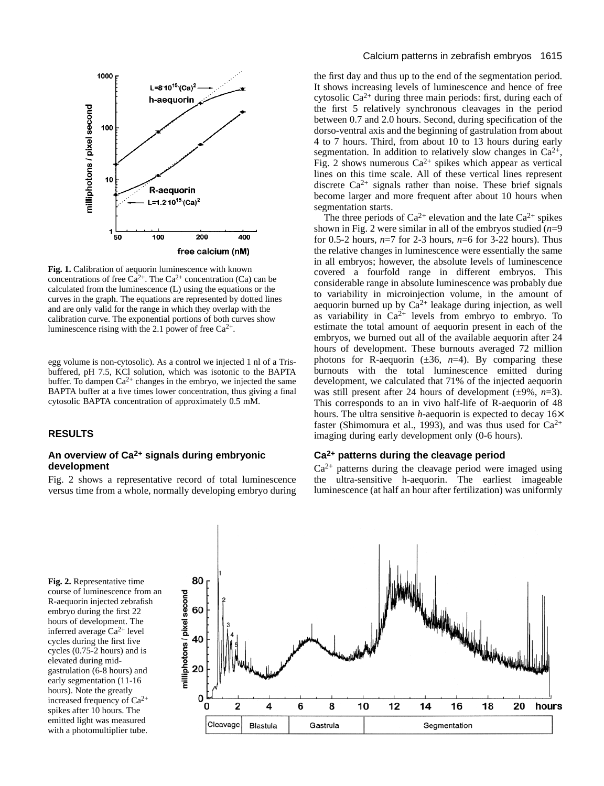

**Fig. 1.** Calibration of aequorin luminescence with known concentrations of free  $Ca^{2+}$ . The  $Ca^{2+}$  concentration (Ca) can be calculated from the luminescence (L) using the equations or the curves in the graph. The equations are represented by dotted lines and are only valid for the range in which they overlap with the calibration curve. The exponential portions of both curves show luminescence rising with the 2.1 power of free  $Ca^{2+}$ .

egg volume is non-cytosolic). As a control we injected 1 nl of a Trisbuffered, pH 7.5, KCl solution, which was isotonic to the BAPTA buffer. To dampen  $Ca^{2+}$  changes in the embryo, we injected the same BAPTA buffer at a five times lower concentration, thus giving a final cytosolic BAPTA concentration of approximately 0.5 mM.

## **RESULTS**

#### **An overview of Ca2+ signals during embryonic development**

Fig. 2 shows a representative record of total luminescence versus time from a whole, normally developing embryo during the first day and thus up to the end of the segmentation period. It shows increasing levels of luminescence and hence of free cytosolic  $Ca^{2+}$  during three main periods: first, during each of the first 5 relatively synchronous cleavages in the period between 0.7 and 2.0 hours. Second, during specification of the dorso-ventral axis and the beginning of gastrulation from about 4 to 7 hours. Third, from about 10 to 13 hours during early segmentation. In addition to relatively slow changes in  $Ca^{2+}$ , Fig. 2 shows numerous  $Ca^{2+}$  spikes which appear as vertical lines on this time scale. All of these vertical lines represent discrete  $Ca^{2+}$  signals rather than noise. These brief signals become larger and more frequent after about 10 hours when segmentation starts.

The three periods of  $Ca^{2+}$  elevation and the late  $Ca^{2+}$  spikes shown in Fig. 2 were similar in all of the embryos studied  $(n=9)$ for 0.5-2 hours, *n*=7 for 2-3 hours, *n*=6 for 3-22 hours). Thus the relative changes in luminescence were essentially the same in all embryos; however, the absolute levels of luminescence covered a fourfold range in different embryos. This considerable range in absolute luminescence was probably due to variability in microinjection volume, in the amount of aequorin burned up by  $Ca^{2+}$  leakage during injection, as well as variability in  $Ca^{2+}$  levels from embryo to embryo. To estimate the total amount of aequorin present in each of the embryos, we burned out all of the available aequorin after 24 hours of development. These burnouts averaged 72 million photons for R-aequorin  $(\pm 36, n=4)$ . By comparing these burnouts with the total luminescence emitted during development, we calculated that 71% of the injected aequorin was still present after 24 hours of development (±9%, *n*=3). This corresponds to an in vivo half-life of R-aequorin of 48 hours. The ultra sensitive *h*-aequorin is expected to decay 16× faster (Shimomura et al., 1993), and was thus used for  $Ca^{2+}$ imaging during early development only (0-6 hours).

## **Ca2+ patterns during the cleavage period**

 $Ca<sup>2+</sup>$  patterns during the cleavage period were imaged using the ultra-sensitive h-aequorin. The earliest imageable luminescence (at half an hour after fertilization) was uniformly

**Fig. 2.** Representative time course of luminescence from an R-aequorin injected zebrafish embryo during the first 22 hours of development. The inferred average Ca2+ level cycles during the first five cycles (0.75-2 hours) and is elevated during midgastrulation (6-8 hours) and early segmentation (11-16 hours). Note the greatly increased frequency of Ca2+ spikes after 10 hours. The emitted light was measured with a photomultiplier tube.

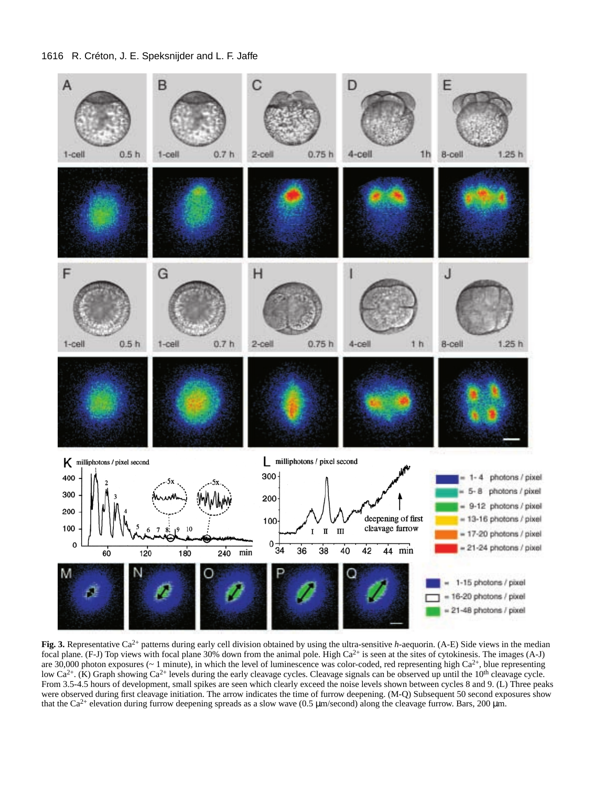

**Fig. 3.** Representative Ca<sup>2+</sup> patterns during early cell division obtained by using the ultra-sensitive *h*-aequorin. (A-E) Side views in the median focal plane. (F-J) Top views with focal plane 30% down from the animal pole. High  $Ca^{2+}$  is seen at the sites of cytokinesis. The images (A-J) are 30,000 photon exposures ( $\sim 1$  minute), in which the level of luminescence was color-coded, red representing high Ca<sup>2+</sup>, blue representing low Ca<sup>2+</sup>. (K) Graph showing Ca<sup>2+</sup> levels during the early cleavage cycles. Cleavage signals can be observed up until the 10<sup>th</sup> cleavage cycle. From 3.5-4.5 hours of development, small spikes are seen which clearly exceed the noise levels shown between cycles 8 and 9. (L) Three peaks were observed during first cleavage initiation. The arrow indicates the time of furrow deepening. (M-Q) Subsequent 50 second exposures show that the Ca<sup>2+</sup> elevation during furrow deepening spreads as a slow wave (0.5  $\mu$ m/second) along the cleavage furrow. Bars, 200  $\mu$ m.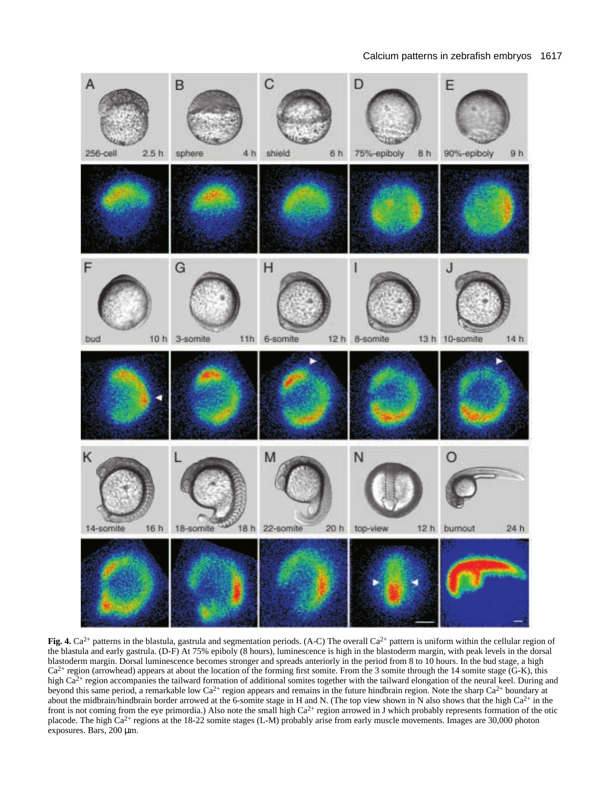

**Fig. 4.**  $Ca^{2+}$  patterns in the blastula, gastrula and segmentation periods. (A-C) The overall  $Ca^{2+}$  pattern is uniform within the cellular region of the blastula and early gastrula. (D-F) At 75% epiboly (8 hours), luminescence is high in the blastoderm margin, with peak levels in the dorsal blastoderm margin. Dorsal luminescence becomes stronger and spreads anteriorly in the period from 8 to 10 hours. In the bud stage, a high  $Ca<sup>2+</sup>$  region (arrowhead) appears at about the location of the forming first somite. From the 3 somite through the 14 somite stage (G-K), this high Ca<sup>2+</sup> region accompanies the tailward formation of additional somites together with the tailward elongation of the neural keel. During and beyond this same period, a remarkable low Ca<sup>2+</sup> region appears and remains in the future hindbrain region. Note the sharp Ca<sup>2+</sup> boundary at about the midbrain/hindbrain border arrowed at the 6-somite stage in H and N. (The top view shown in N also shows that the high Ca2+ in the front is not coming from the eye primordia.) Also note the small high  $Ca^{2+}$  region arrowed in J which probably represents formation of the otic placode. The high Ca<sup>2+</sup> regions at the 18-22 somite stages (L-M) probably arise from early muscle movements. Images are 30,000 photon exposures. Bars, 200 µm.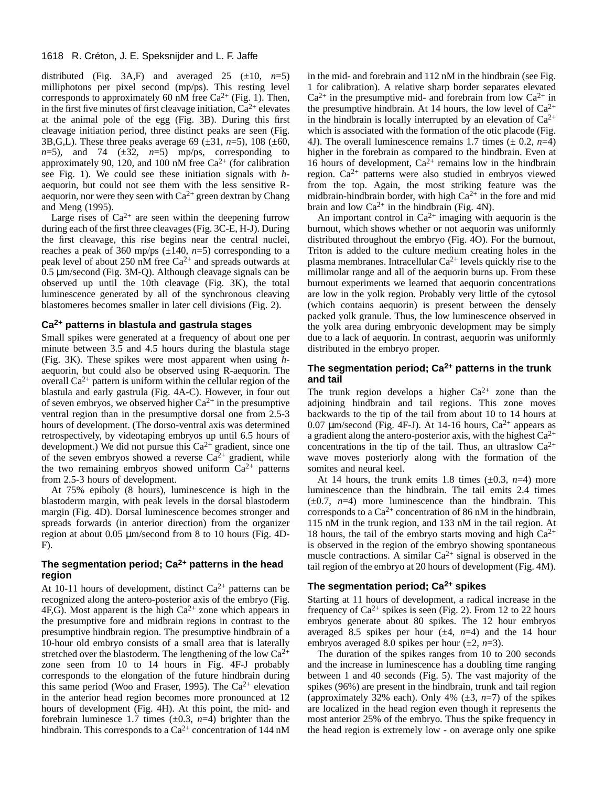distributed (Fig. 3A,F) and averaged 25  $(\pm 10, n=5)$ milliphotons per pixel second (mp/ps). This resting level corresponds to approximately 60 nM free  $Ca^{2+}$  (Fig. 1). Then, in the first five minutes of first cleavage initiation,  $Ca^{2+}$  elevates at the animal pole of the egg (Fig. 3B). During this first cleavage initiation period, three distinct peaks are seen (Fig. 3B,G,L). These three peaks average 69  $(\pm 31, n=5)$ , 108  $(\pm 60,$  $n=5$ ), and 74 ( $\pm 32$ ,  $n=5$ ) mp/ps, corresponding to approximately 90, 120, and 100 nM free  $Ca^{2+}$  (for calibration see Fig. 1). We could see these initiation signals with *h*aequorin, but could not see them with the less sensitive Raequorin, nor were they seen with  $Ca^{2+}$  green dextran by Chang and Meng (1995).

Large rises of  $Ca^{2+}$  are seen within the deepening furrow during each of the first three cleavages (Fig. 3C-E, H-J). During the first cleavage, this rise begins near the central nuclei, reaches a peak of 360 mp/ps  $(\pm 140, n=5)$  corresponding to a peak level of about 250 nM free  $Ca^{2+}$  and spreads outwards at 0.5 µm/second (Fig. 3M-Q). Although cleavage signals can be observed up until the 10th cleavage (Fig. 3K), the total luminescence generated by all of the synchronous cleaving blastomeres becomes smaller in later cell divisions (Fig. 2).

#### **Ca2+ patterns in blastula and gastrula stages**

Small spikes were generated at a frequency of about one per minute between 3.5 and 4.5 hours during the blastula stage (Fig. 3K). These spikes were most apparent when using *h*aequorin, but could also be observed using R-aequorin. The overall  $Ca^{2+}$  pattern is uniform within the cellular region of the blastula and early gastrula (Fig. 4A-C). However, in four out of seven embryos, we observed higher  $Ca^{2+}$  in the presumptive ventral region than in the presumptive dorsal one from 2.5-3 hours of development. (The dorso-ventral axis was determined retrospectively, by videotaping embryos up until 6.5 hours of development.) We did not pursue this  $Ca^{2+}$  gradient, since one of the seven embryos showed a reverse  $Ca^{2+}$  gradient, while the two remaining embryos showed uniform  $Ca^{2+}$  patterns from 2.5-3 hours of development.

At 75% epiboly (8 hours), luminescence is high in the blastoderm margin, with peak levels in the dorsal blastoderm margin (Fig. 4D). Dorsal luminescence becomes stronger and spreads forwards (in anterior direction) from the organizer region at about 0.05 µm/second from 8 to 10 hours (Fig. 4D-F).

# **The segmentation period; Ca2+ patterns in the head region**

At 10-11 hours of development, distinct  $Ca^{2+}$  patterns can be recognized along the antero-posterior axis of the embryo (Fig. 4F,G). Most apparent is the high  $Ca^{2+}$  zone which appears in the presumptive fore and midbrain regions in contrast to the presumptive hindbrain region. The presumptive hindbrain of a 10-hour old embryo consists of a small area that is laterally stretched over the blastoderm. The lengthening of the low  $Ca^{2+}$ zone seen from 10 to 14 hours in Fig. 4F-J probably corresponds to the elongation of the future hindbrain during this same period (Woo and Fraser, 1995). The  $Ca^{2+}$  elevation in the anterior head region becomes more pronounced at 12 hours of development (Fig. 4H). At this point, the mid- and forebrain luminesce 1.7 times  $(\pm 0.3, n=4)$  brighter than the hindbrain. This corresponds to a Ca<sup>2+</sup> concentration of 144 nM

in the mid- and forebrain and 112 nM in the hindbrain (see Fig. 1 for calibration). A relative sharp border separates elevated  $Ca^{2+}$  in the presumptive mid- and forebrain from low  $Ca^{2+}$  in the presumptive hindbrain. At 14 hours, the low level of  $Ca^{2+}$ in the hindbrain is locally interrupted by an elevation of  $Ca^{2+}$ which is associated with the formation of the otic placode (Fig. 4J). The overall luminescence remains 1.7 times  $(\pm 0.2, n=4)$ higher in the forebrain as compared to the hindbrain. Even at 16 hours of development,  $Ca^{2+}$  remains low in the hindbrain region. Ca2+ patterns were also studied in embryos viewed from the top. Again, the most striking feature was the midbrain-hindbrain border, with high  $Ca^{2+}$  in the fore and mid brain and low  $Ca^{2+}$  in the hindbrain (Fig. 4N).

An important control in  $Ca^{2+}$  imaging with aequorin is the burnout, which shows whether or not aequorin was uniformly distributed throughout the embryo (Fig. 4O). For the burnout, Triton is added to the culture medium creating holes in the plasma membranes. Intracellular  $Ca^{2+}$  levels quickly rise to the millimolar range and all of the aequorin burns up. From these burnout experiments we learned that aequorin concentrations are low in the yolk region. Probably very little of the cytosol (which contains aequorin) is present between the densely packed yolk granule. Thus, the low luminescence observed in the yolk area during embryonic development may be simply due to a lack of aequorin. In contrast, aequorin was uniformly distributed in the embryo proper.

## **The segmentation period; Ca2+ patterns in the trunk and tail**

The trunk region develops a higher  $Ca^{2+}$  zone than the adjoining hindbrain and tail regions. This zone moves backwards to the tip of the tail from about 10 to 14 hours at 0.07  $\mu$ m/second (Fig. 4F-J). At 14-16 hours, Ca<sup>2+</sup> appears as a gradient along the antero-posterior axis, with the highest  $Ca^{2+}$ concentrations in the tip of the tail. Thus, an ultraslow  $Ca^{2+}$ wave moves posteriorly along with the formation of the somites and neural keel.

At 14 hours, the trunk emits 1.8 times  $(\pm 0.3, n=4)$  more luminescence than the hindbrain. The tail emits 2.4 times  $(\pm 0.7, n=4)$  more luminescence than the hindbrain. This corresponds to a  $Ca^{2+}$  concentration of 86 nM in the hindbrain, 115 nM in the trunk region, and 133 nM in the tail region. At 18 hours, the tail of the embryo starts moving and high  $Ca^{2+}$ is observed in the region of the embryo showing spontaneous muscle contractions. A similar  $Ca^{2+}$  signal is observed in the tail region of the embryo at 20 hours of development (Fig. 4M).

## **The segmentation period; Ca2+ spikes**

Starting at 11 hours of development, a radical increase in the frequency of  $Ca^{2+}$  spikes is seen (Fig. 2). From 12 to 22 hours embryos generate about 80 spikes. The 12 hour embryos averaged 8.5 spikes per hour  $(\pm 4, n=4)$  and the 14 hour embryos averaged 8.0 spikes per hour  $(\pm 2, n=3)$ .

The duration of the spikes ranges from 10 to 200 seconds and the increase in luminescence has a doubling time ranging between 1 and 40 seconds (Fig. 5). The vast majority of the spikes (96%) are present in the hindbrain, trunk and tail region (approximately 32% each). Only 4% (±3, *n*=7) of the spikes are localized in the head region even though it represents the most anterior 25% of the embryo. Thus the spike frequency in the head region is extremely low - on average only one spike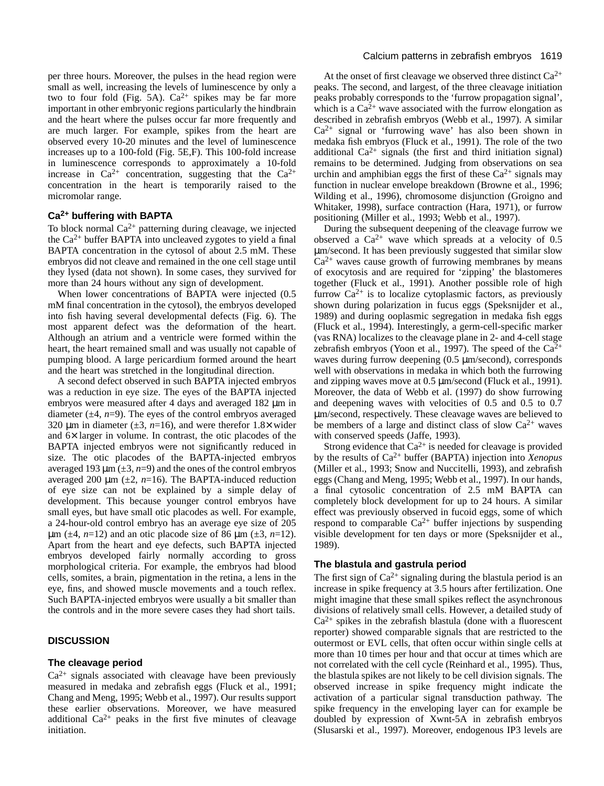per three hours. Moreover, the pulses in the head region were small as well, increasing the levels of luminescence by only a two to four fold (Fig. 5A).  $Ca^{2+}$  spikes may be far more important in other embryonic regions particularly the hindbrain and the heart where the pulses occur far more frequently and are much larger. For example, spikes from the heart are observed every 10-20 minutes and the level of luminescence increases up to a 100-fold (Fig. 5E,F). This 100-fold increase in luminescence corresponds to approximately a 10-fold increase in  $Ca^{2+}$  concentration, suggesting that the  $Ca^{2+}$ concentration in the heart is temporarily raised to the micromolar range.

# **Ca2+ buffering with BAPTA**

To block normal  $Ca^{2+}$  patterning during cleavage, we injected the  $Ca<sup>2+</sup>$  buffer BAPTA into uncleaved zygotes to yield a final BAPTA concentration in the cytosol of about 2.5 mM. These embryos did not cleave and remained in the one cell stage until they lysed (data not shown). In some cases, they survived for more than 24 hours without any sign of development.

When lower concentrations of BAPTA were injected (0.5 mM final concentration in the cytosol), the embryos developed into fish having several developmental defects (Fig. 6). The most apparent defect was the deformation of the heart. Although an atrium and a ventricle were formed within the heart, the heart remained small and was usually not capable of pumping blood. A large pericardium formed around the heart and the heart was stretched in the longitudinal direction.

A second defect observed in such BAPTA injected embryos was a reduction in eye size. The eyes of the BAPTA injected embryos were measured after 4 days and averaged 182 µm in diameter  $(\pm 4, n=9)$ . The eyes of the control embryos averaged 320  $\mu$ m in diameter ( $\pm 3$ , *n*=16), and were therefor 1.8 $\times$  wider and 6× larger in volume. In contrast, the otic placodes of the BAPTA injected embryos were not significantly reduced in size. The otic placodes of the BAPTA-injected embryos averaged 193  $\mu$ m ( $\pm$ 3, *n*=9) and the ones of the control embryos averaged 200  $\mu$ m ( $\pm$ 2, *n*=16). The BAPTA-induced reduction of eye size can not be explained by a simple delay of development. This because younger control embryos have small eyes, but have small otic placodes as well. For example, a 24-hour-old control embryo has an average eye size of 205  $\mu$ m ( $\pm$ 4, *n*=12) and an otic placode size of 86  $\mu$ m ( $\pm$ 3, *n*=12). Apart from the heart and eye defects, such BAPTA injected embryos developed fairly normally according to gross morphological criteria. For example, the embryos had blood cells, somites, a brain, pigmentation in the retina, a lens in the eye, fins, and showed muscle movements and a touch reflex. Such BAPTA-injected embryos were usually a bit smaller than the controls and in the more severe cases they had short tails.

## **DISCUSSION**

## **The cleavage period**

 $Ca<sup>2+</sup>$  signals associated with cleavage have been previously measured in medaka and zebrafish eggs (Fluck et al., 1991; Chang and Meng, 1995; Webb et al., 1997). Our results support these earlier observations. Moreover, we have measured additional  $Ca^{2+}$  peaks in the first five minutes of cleavage initiation.

At the onset of first cleavage we observed three distinct  $Ca^{2+}$ peaks. The second, and largest, of the three cleavage initiation peaks probably corresponds to the 'furrow propagation signal', which is a  $Ca<sup>2+</sup>$  wave associated with the furrow elongation as described in zebrafish embryos (Webb et al., 1997). A similar  $Ca<sup>2+</sup>$  signal or 'furrowing wave' has also been shown in medaka fish embryos (Fluck et al., 1991). The role of the two additional  $Ca^{2+}$  signals (the first and third initiation signal) remains to be determined. Judging from observations on sea urchin and amphibian eggs the first of these  $Ca^{2+}$  signals may function in nuclear envelope breakdown (Browne et al., 1996; Wilding et al., 1996), chromosome disjunction (Groigno and Whitaker, 1998), surface contraction (Hara, 1971), or furrow positioning (Miller et al., 1993; Webb et al., 1997).

During the subsequent deepening of the cleavage furrow we observed a  $Ca^{2+}$  wave which spreads at a velocity of 0.5 µm/second. It has been previously suggested that similar slow  $Ca<sup>2+</sup>$  waves cause growth of furrowing membranes by means of exocytosis and are required for 'zipping' the blastomeres together (Fluck et al., 1991). Another possible role of high furrow  $Ca^{2+}$  is to localize cytoplasmic factors, as previously shown during polarization in fucus eggs (Speksnijder et al., 1989) and during ooplasmic segregation in medaka fish eggs (Fluck et al., 1994). Interestingly, a germ-cell-specific marker (vas RNA) localizes to the cleavage plane in 2- and 4-cell stage zebrafish embryos (Yoon et al., 1997). The speed of the  $Ca^{2+}$ waves during furrow deepening (0.5  $\mu$ m/second), corresponds well with observations in medaka in which both the furrowing and zipping waves move at 0.5  $\mu$ m/second (Fluck et al., 1991). Moreover, the data of Webb et al. (1997) do show furrowing and deepening waves with velocities of 0.5 and 0.5 to 0.7 µm/second, respectively. These cleavage waves are believed to be members of a large and distinct class of slow  $Ca^{2+}$  waves with conserved speeds (Jaffe, 1993).

Strong evidence that  $Ca^{2+}$  is needed for cleavage is provided by the results of Ca2+ buffer (BAPTA) injection into *Xenopus* (Miller et al., 1993; Snow and Nuccitelli, 1993), and zebrafish eggs (Chang and Meng, 1995; Webb et al., 1997). In our hands, a final cytosolic concentration of 2.5 mM BAPTA can completely block development for up to 24 hours. A similar effect was previously observed in fucoid eggs, some of which respond to comparable  $Ca^{2+}$  buffer injections by suspending visible development for ten days or more (Speksnijder et al., 1989).

## **The blastula and gastrula period**

The first sign of  $Ca^{2+}$  signaling during the blastula period is an increase in spike frequency at 3.5 hours after fertilization. One might imagine that these small spikes reflect the asynchronous divisions of relatively small cells. However, a detailed study of  $Ca^{2+}$  spikes in the zebrafish blastula (done with a fluorescent reporter) showed comparable signals that are restricted to the outermost or EVL cells, that often occur within single cells at more than 10 times per hour and that occur at times which are not correlated with the cell cycle (Reinhard et al., 1995). Thus, the blastula spikes are not likely to be cell division signals. The observed increase in spike frequency might indicate the activation of a particular signal transduction pathway. The spike frequency in the enveloping layer can for example be doubled by expression of Xwnt-5A in zebrafish embryos (Slusarski et al., 1997). Moreover, endogenous IP3 levels are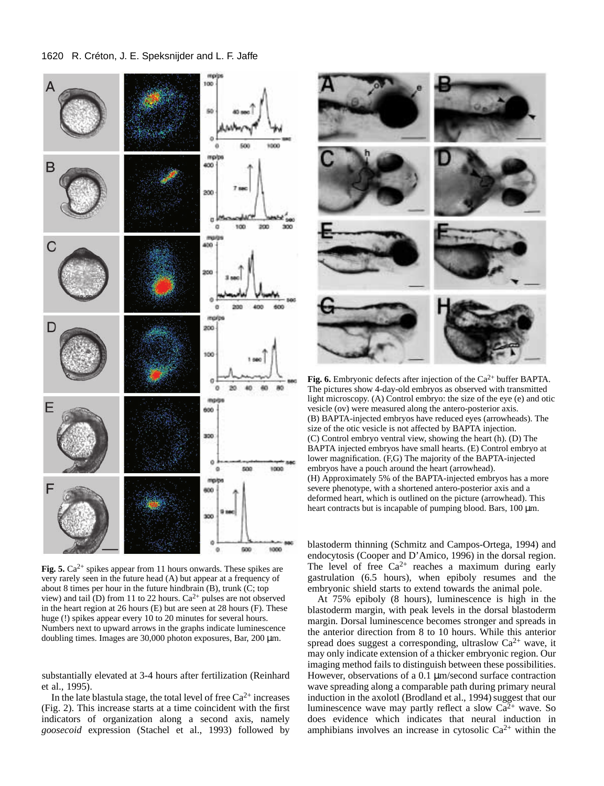

Fig. 5. Ca<sup>2+</sup> spikes appear from 11 hours onwards. These spikes are very rarely seen in the future head (A) but appear at a frequency of about 8 times per hour in the future hindbrain (B), trunk (C; top view) and tail  $(D)$  from 11 to 22 hours.  $Ca^{2+}$  pulses are not observed in the heart region at 26 hours (E) but are seen at 28 hours (F). These huge (!) spikes appear every 10 to 20 minutes for several hours. Numbers next to upward arrows in the graphs indicate luminescence doubling times. Images are  $30,000$  photon exposures, Bar,  $200 \mu m$ .

substantially elevated at 3-4 hours after fertilization (Reinhard et al., 1995).

In the late blastula stage, the total level of free  $Ca^{2+}$  increases (Fig. 2). This increase starts at a time coincident with the first indicators of organization along a second axis, namely *goosecoid* expression (Stachel et al., 1993) followed by



**Fig. 6.** Embryonic defects after injection of the  $Ca^{2+}$  buffer BAPTA. The pictures show 4-day-old embryos as observed with transmitted light microscopy. (A) Control embryo: the size of the eye (e) and otic vesicle (ov) were measured along the antero-posterior axis. (B) BAPTA-injected embryos have reduced eyes (arrowheads). The size of the otic vesicle is not affected by BAPTA injection. (C) Control embryo ventral view, showing the heart (h). (D) The BAPTA injected embryos have small hearts. (E) Control embryo at lower magnification. (F,G) The majority of the BAPTA-injected embryos have a pouch around the heart (arrowhead). (H) Approximately 5% of the BAPTA-injected embryos has a more severe phenotype, with a shortened antero-posterior axis and a deformed heart, which is outlined on the picture (arrowhead). This heart contracts but is incapable of pumping blood. Bars,  $100 \mu m$ .

blastoderm thinning (Schmitz and Campos-Ortega, 1994) and endocytosis (Cooper and D'Amico, 1996) in the dorsal region. The level of free  $Ca^{2+}$  reaches a maximum during early gastrulation (6.5 hours), when epiboly resumes and the embryonic shield starts to extend towards the animal pole.

At 75% epiboly (8 hours), luminescence is high in the blastoderm margin, with peak levels in the dorsal blastoderm margin. Dorsal luminescence becomes stronger and spreads in the anterior direction from 8 to 10 hours. While this anterior spread does suggest a corresponding, ultraslow  $Ca^{2+}$  wave, it may only indicate extension of a thicker embryonic region. Our imaging method fails to distinguish between these possibilities. However, observations of a 0.1  $\mu$ m/second surface contraction wave spreading along a comparable path during primary neural induction in the axolotl (Brodland et al., 1994) suggest that our luminescence wave may partly reflect a slow  $Ca<sup>2+</sup>$  wave. So does evidence which indicates that neural induction in amphibians involves an increase in cytosolic  $Ca^{2+}$  within the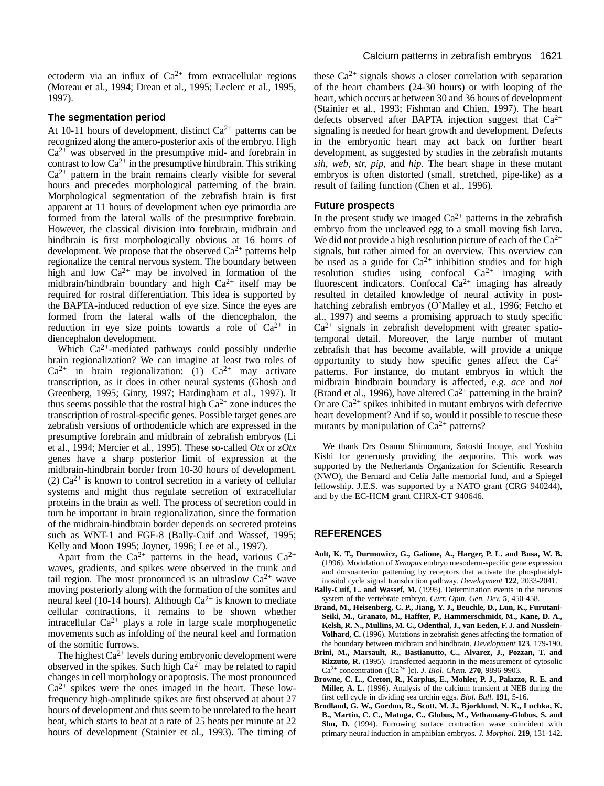ectoderm via an influx of  $Ca^{2+}$  from extracellular regions (Moreau et al., 1994; Drean et al., 1995; Leclerc et al., 1995, 1997).

#### **The segmentation period**

At 10-11 hours of development, distinct  $Ca^{2+}$  patterns can be recognized along the antero-posterior axis of the embryo. High  $Ca<sup>2+</sup>$  was observed in the presumptive mid- and forebrain in contrast to low  $Ca^{2+}$  in the presumptive hindbrain. This striking  $Ca<sup>2+</sup>$  pattern in the brain remains clearly visible for several hours and precedes morphological patterning of the brain. Morphological segmentation of the zebrafish brain is first apparent at 11 hours of development when eye primordia are formed from the lateral walls of the presumptive forebrain. However, the classical division into forebrain, midbrain and hindbrain is first morphologically obvious at 16 hours of development. We propose that the observed  $Ca^{2+}$  patterns help regionalize the central nervous system. The boundary between high and low  $Ca^{2+}$  may be involved in formation of the midbrain/hindbrain boundary and high  $Ca^{2+}$  itself may be required for rostral differentiation. This idea is supported by the BAPTA-induced reduction of eye size. Since the eyes are formed from the lateral walls of the diencephalon, the reduction in eye size points towards a role of  $Ca^{2+}$  in diencephalon development.

Which Ca<sup>2+</sup>-mediated pathways could possibly underlie brain regionalization? We can imagine at least two roles of  $Ca^{2+}$  in brain regionalization: (1)  $Ca^{2+}$  may activate transcription, as it does in other neural systems (Ghosh and Greenberg, 1995; Ginty, 1997; Hardingham et al., 1997). It thus seems possible that the rostral high  $Ca^{2+}$  zone induces the transcription of rostral-specific genes. Possible target genes are zebrafish versions of orthodenticle which are expressed in the presumptive forebrain and midbrain of zebrafish embryos (Li et al., 1994; Mercier et al., 1995). These so-called *Otx* or *zOtx* genes have a sharp posterior limit of expression at the midbrain-hindbrain border from 10-30 hours of development. (2)  $Ca^{2+}$  is known to control secretion in a variety of cellular systems and might thus regulate secretion of extracellular proteins in the brain as well. The process of secretion could in turn be important in brain regionalization, since the formation of the midbrain-hindbrain border depends on secreted proteins such as WNT-1 and FGF-8 (Bally-Cuif and Wassef, 1995; Kelly and Moon 1995; Joyner, 1996; Lee et al., 1997).

Apart from the  $Ca^{2+}$  patterns in the head, various  $Ca^{2+}$ waves, gradients, and spikes were observed in the trunk and tail region. The most pronounced is an ultraslow  $Ca^{2+}$  wave moving posteriorly along with the formation of the somites and neural keel (10-14 hours). Although  $Ca^{2+}$  is known to mediate cellular contractions, it remains to be shown whether intracellular  $Ca^{2+}$  plays a role in large scale morphogenetic movements such as infolding of the neural keel and formation of the somitic furrows.

The highest  $Ca^{2+}$  levels during embryonic development were observed in the spikes. Such high  $Ca^{2+}$  may be related to rapid changes in cell morphology or apoptosis. The most pronounced  $Ca<sup>2+</sup>$  spikes were the ones imaged in the heart. These lowfrequency high-amplitude spikes are first observed at about 27 hours of development and thus seem to be unrelated to the heart beat, which starts to beat at a rate of 25 beats per minute at 22 hours of development (Stainier et al., 1993). The timing of

these  $Ca^{2+}$  signals shows a closer correlation with separation of the heart chambers (24-30 hours) or with looping of the heart, which occurs at between 30 and 36 hours of development (Stainier et al., 1993; Fishman and Chien, 1997). The heart defects observed after BAPTA injection suggest that  $Ca^{2+}$ signaling is needed for heart growth and development. Defects in the embryonic heart may act back on further heart development, as suggested by studies in the zebrafish mutants *sih, web, str, pip,* and *hip*. The heart shape in these mutant embryos is often distorted (small, stretched, pipe-like) as a result of failing function (Chen et al., 1996).

#### **Future prospects**

In the present study we imaged  $Ca^{2+}$  patterns in the zebrafish embryo from the uncleaved egg to a small moving fish larva. We did not provide a high resolution picture of each of the  $Ca^{2+}$ signals, but rather aimed for an overview. This overview can be used as a guide for  $Ca^{2+}$  inhibition studies and for high resolution studies using confocal  $Ca^{2+}$  imaging with fluorescent indicators. Confocal  $Ca^{2+}$  imaging has already resulted in detailed knowledge of neural activity in posthatching zebrafish embryos (O'Malley et al., 1996; Fetcho et al., 1997) and seems a promising approach to study specific  $Ca<sup>2+</sup>$  signals in zebrafish development with greater spatiotemporal detail. Moreover, the large number of mutant zebrafish that has become available, will provide a unique opportunity to study how specific genes affect the  $Ca^{2+}$ patterns. For instance, do mutant embryos in which the midbrain hindbrain boundary is affected, e.g. *ace* and *noi* (Brand et al., 1996), have altered  $Ca^{2+}$  patterning in the brain? Or are  $Ca^{2+}$  spikes inhibited in mutant embryos with defective heart development? And if so, would it possible to rescue these mutants by manipulation of  $Ca^{2+}$  patterns?

We thank Drs Osamu Shimomura, Satoshi Inouye, and Yoshito Kishi for generously providing the aequorins. This work was supported by the Netherlands Organization for Scientific Research (NWO), the Bernard and Celia Jaffe memorial fund, and a Spiegel fellowship. J.E.S. was supported by a NATO grant (CRG 940244), and by the EC-HCM grant CHRX-CT 940646.

## **REFERENCES**

- **Ault, K. T., Durmowicz, G., Galione, A., Harger, P. L. and Busa, W. B.** (1996). Modulation of *Xenopus* embryo mesoderm-specific gene expression and dorsoanterior patterning by receptors that activate the phosphatidylinositol cycle signal transduction pathway. *Development* **122**, 2033-2041.
- Bally-Cuif, L. and Wassef, M. (1995). Determination events in the nervous system of the vertebrate embryo. *Curr. Opin. Gen. Dev.* **5**, 450-458.
- **Brand, M., Heisenberg, C. P., Jiang, Y. J., Beuchle, D., Lun, K., Furutani-Seiki, M., Granato, M., Haffter, P., Hammerschmidt, M., Kane, D. A., Kelsh, R. N., Mullins, M. C., Odenthal, J., van Eeden, F. J. and Nusslein-Volhard, C.** (1996). Mutations in zebrafish genes affecting the formation of the boundary between midbrain and hindbrain. *Development* **123**, 179-190.
- **Brini, M., Marsault, R., Bastianutto, C., Alvarez, J., Pozzan, T. and Rizzuto, R.** (1995). Transfected aequorin in the measurement of cytosolic Ca2+ concentration ([Ca2+ ]c). *J. Biol. Chem.* **270**, 9896-9903.
- **Browne, C. L., Creton, R., Karplus, E., Mohler, P. J., Palazzo, R. E. and Miller, A. L.** (1996). Analysis of the calcium transient at NEB during the first cell cycle in dividing sea urchin eggs. *Biol. Bull.* **191**, 5-16.
- **Brodland, G. W., Gordon, R., Scott, M. J., Bjorklund, N. K., Luchka, K. B., Martin, C. C., Matuga, C., Globus, M., Vethamany-Globus, S. and Shu, D.** (1994). Furrowing surface contraction wave coincident with primary neural induction in amphibian embryos. *J. Morphol.* **219**, 131-142.